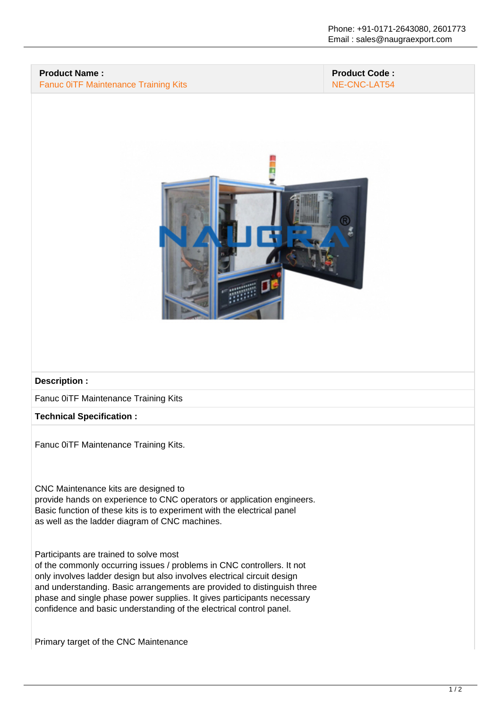## **Product Name :** Fanuc 0iTF Maintenance Training Kits

## **Product Code :** NE-CNC-LAT54



#### **Description :**

Fanuc 0iTF Maintenance Training Kits

#### **Technical Specification :**

Fanuc 0iTF Maintenance Training Kits.

#### CNC Maintenance kits are designed to

provide hands on experience to CNC operators or application engineers. Basic function of these kits is to experiment with the electrical panel as well as the ladder diagram of CNC machines.

## Participants are trained to solve most

of the commonly occurring issues / problems in CNC controllers. It not only involves ladder design but also involves electrical circuit design and understanding. Basic arrangements are provided to distinguish three phase and single phase power supplies. It gives participants necessary confidence and basic understanding of the electrical control panel.

Primary target of the CNC Maintenance